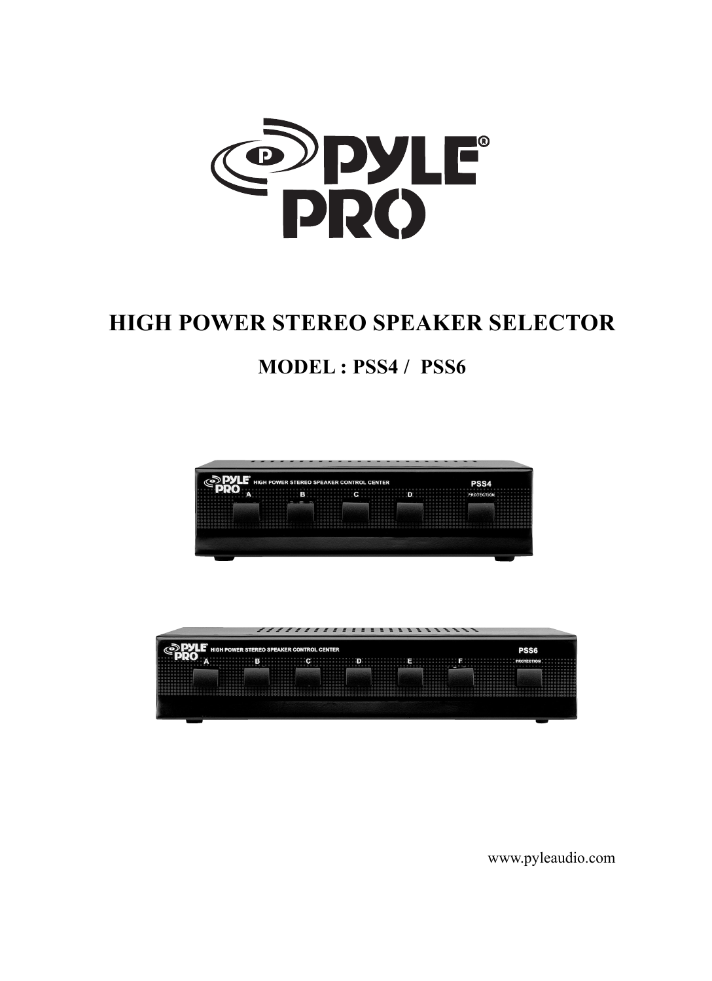

# **HIGH POWER STEREO SPEAKER SELECTOR**

## **MODEL : PSS4 /PSS6**





www.pyleaudio.com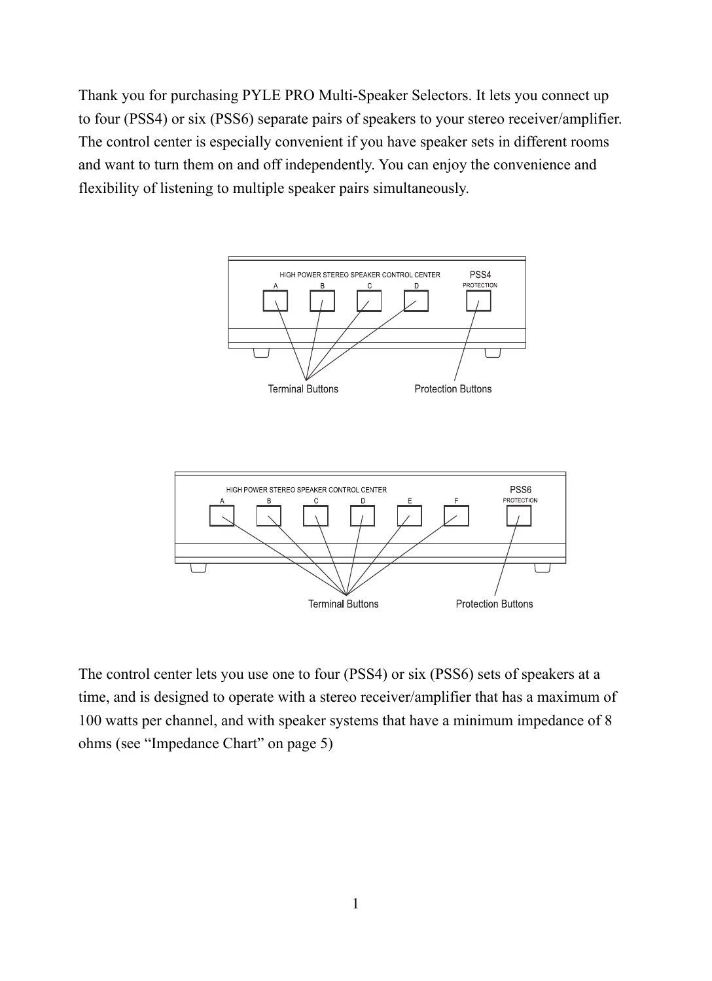Thank you for purchasing PYLE PRO Multi-Speaker Selectors. It lets you connect up to four (PSS4) or six (PSS6) separate pairs of speakers to your stereo receiver/amplifier. The control center is especially convenient if you have speaker sets in different rooms and want to turn them on and off independently. You can enjoy the convenience and flexibility of listening to multiple speaker pairs simultaneously.





The control center lets you use one to four (PSS4) or six (PSS6) sets of speakers at a time, and is designed to operate with a stereo receiver/amplifier that has a maximum of 100 watts per channel, and with speaker systems that have a minimum impedance of 8 ohms (see "Impedance Chart" on page 5)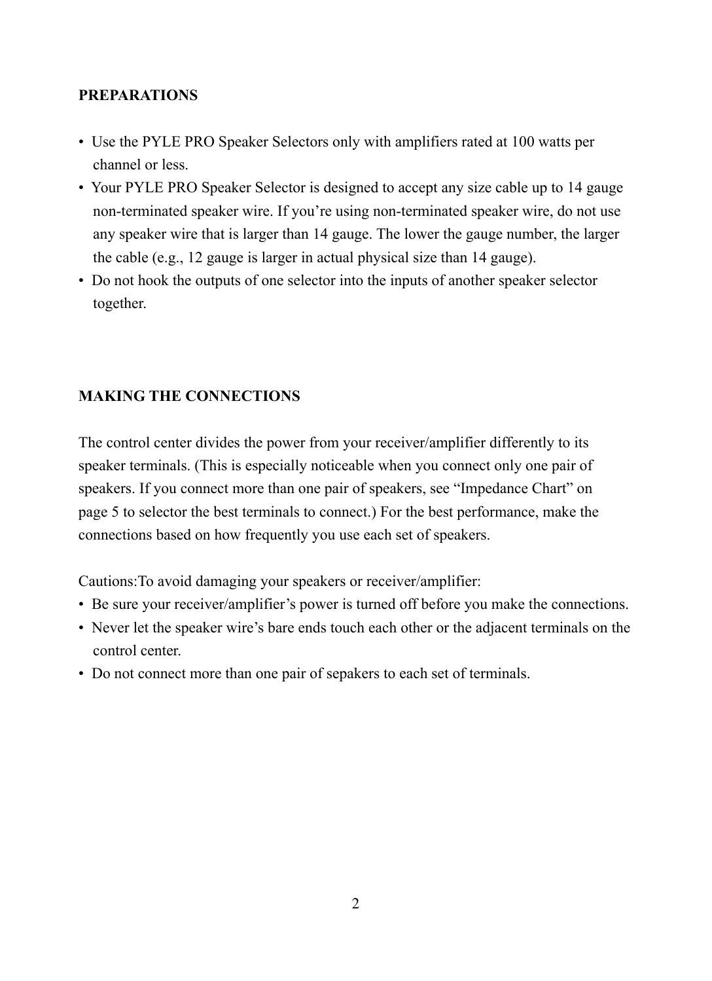#### **PREPARATIONS**

- Use the PYLE PRO Speaker Selectors only with amplifiers rated at 100 watts per channel or less.
- Your PYLE PRO Speaker Selector is designed to accept any size cable up to 14 gauge non-terminated speaker wire. If you're using non-terminated speaker wire, do not use any speaker wire that is larger than14 gauge. The lower the gauge number, the larger the cable (e.g.,12 gauge is larger in actual physical size than14 gauge).
- •Do not hook the outputs of one selector into the inputs of another speaker selector together.

#### **MAKING THE CONNECTIONS**

The control center divides the power from your receiver/amplifier differently to its speaker terminals. (This is especially noticeable when you connect only one pair of speakers. If you connect more than one pair of speakers, see "Impedance Chart" on page 5 to selector the best terminals to connect.) For the best performance, make the connections based on how frequently you use each set of speakers.

Cautions:To avoid damaging your speakers or receiver/amplifier:

- •Be sure your receiver/amplifier's power is turned off before you make the connections.
- Never let the speaker wire's bare ends touch each other or the adjacent terminals on the control center.
- •Do not connect more than one pair of sepakers to each set of terminals.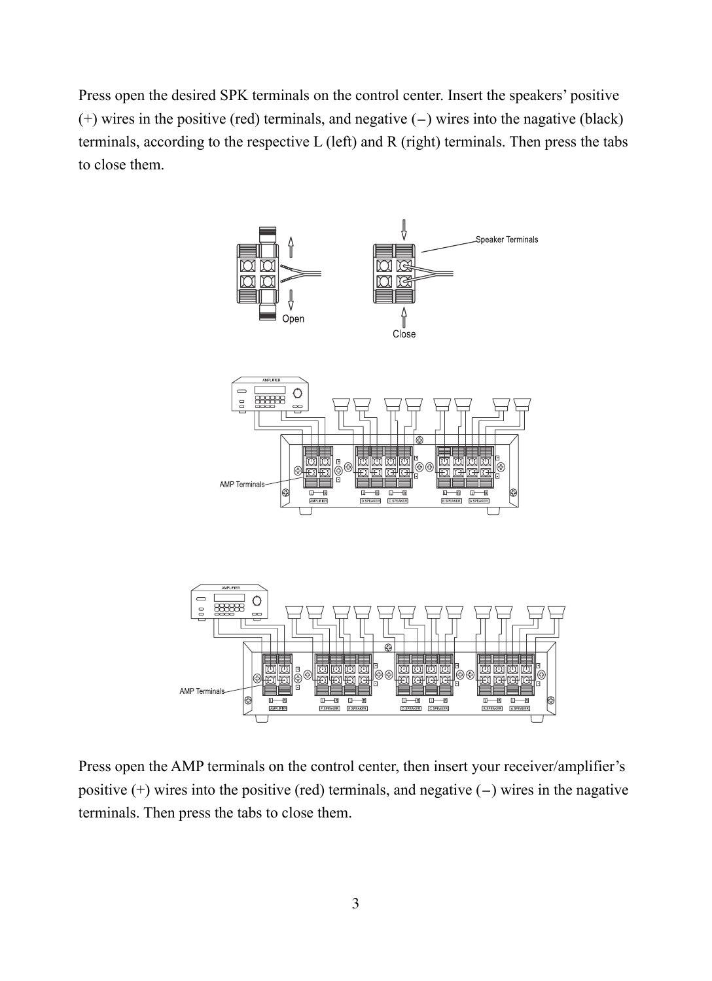Press open the desired SPK terminals on the control center. Insert the speakers' positive  $(+)$  wires in the positive (red) terminals, and negative  $(-)$  wires into the nagative (black) terminals, according to the respective L (left) and R (right) terminals. Then press the tabs to close them.



Press open the AMP terminals on the control center, then insert your receiver/amplifier's positive  $(+)$  wires into the positive (red) terminals, and negative  $(-)$  wires in the nagative terminals. Then press the tabs to close them.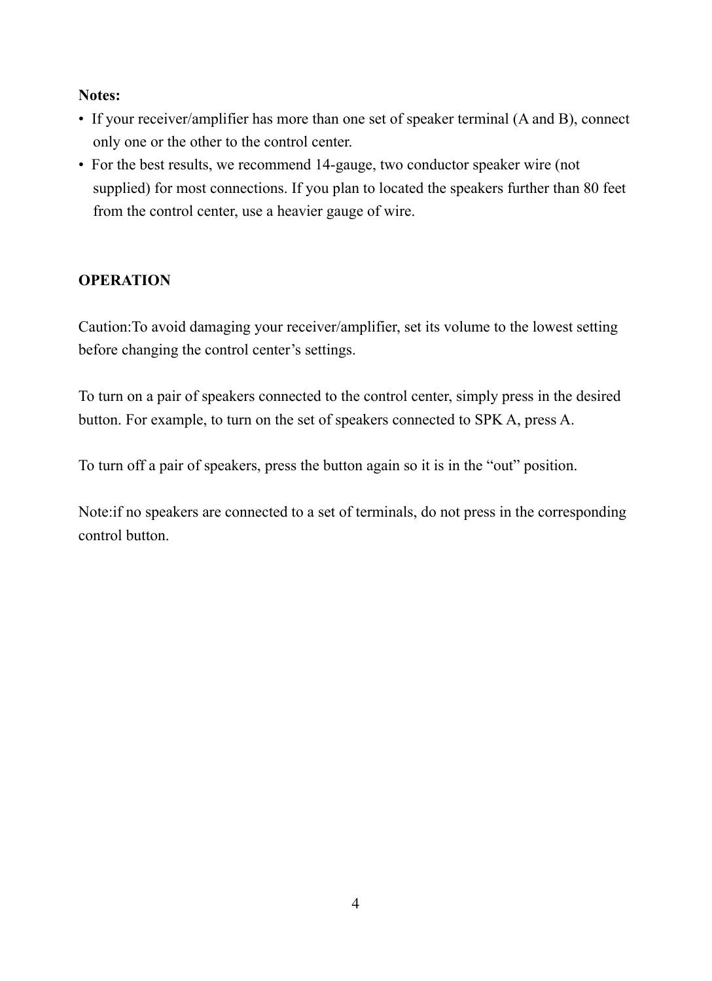#### **Notes:**

- If your receiver/amplifier has more than one set of speaker terminal (A and B), connect only one or the other to the control center.
- For the best results, we recommend 14-gauge, two conductor speaker wire (not supplied) for most connections. If you plan to located the speakers further than 80 feet from the control center, use a heavier gauge of wire.

#### **OPERATION**

Caution:To avoid damaging your receiver/amplifier, set its volume to the lowest setting before changing the control center's settings.

To turn on a pair of speakers connected to the control center, simply press in the desired button. For example, to turn on the set of speakers connected to SPK A, press A.

To turn off a pair of speakers, press the button again so it is in the "out" position.

Note:if no speakers are connected to a set of terminals, do not press in the corresponding control button.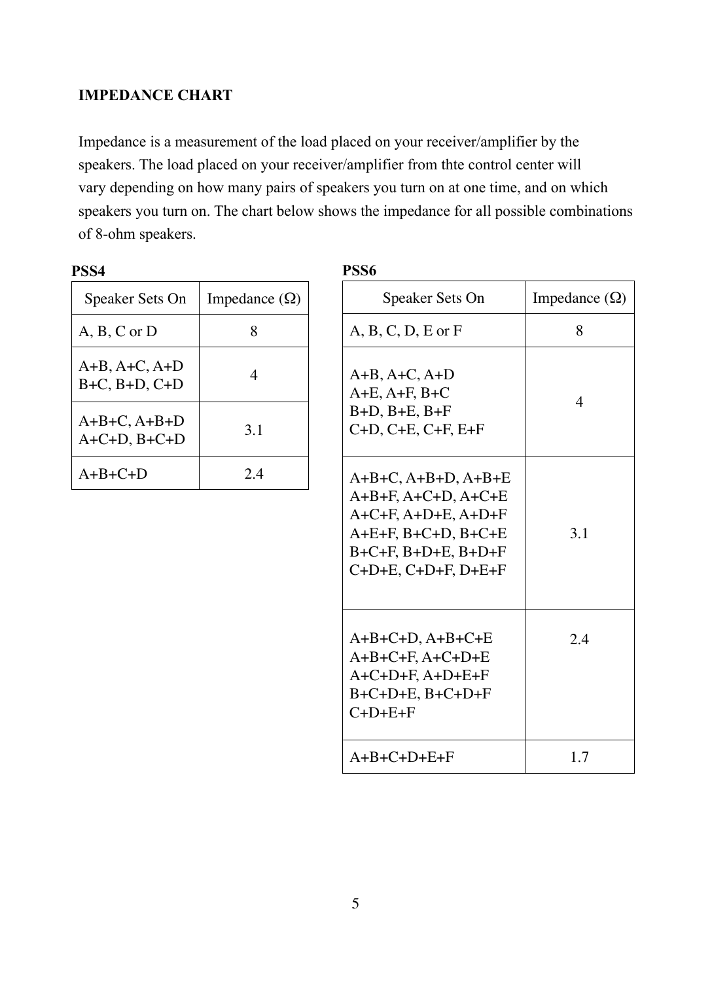#### **IMPEDANCE CHART**

Impedance is a measurement of the load placed on your receiver/amplifier by the speakers. The load placed on your receiver/amplifier from thte control center will vary depending on how many pairs of speakers you turn on at one time, and on which speakers you turn on. The chart below shows the impedance for all possible combinations of 8-ohm speakers.

| Speaker Sets On                          | Impedance $(\Omega)$ |
|------------------------------------------|----------------------|
| $A, B, C$ or $D$                         |                      |
| $A+B, A+C, A+D$<br>$B+C$ , $B+D$ , $C+D$ | 4                    |
| $A+B+C, A+B+D$<br>$A+C+D$ , $B+C+D$      | 3.1                  |
| $A+B+C+D$                                | 24                   |

|--|

| Speaker Sets On                                                                                                                                                      | Impedance $(\Omega)$ |
|----------------------------------------------------------------------------------------------------------------------------------------------------------------------|----------------------|
| $A, B, C, D, E$ or $F$                                                                                                                                               | 8                    |
| $A+B, A+C, A+D$<br>$A+E$ , $A+F$ , $B+C$<br>$B+D$ , $B+E$ , $B+F$<br>$C+D, C+E, C+F, E+F$                                                                            | 4                    |
| $A+B+C, A+B+D, A+B+E$<br>$A+B+F, A+C+D, A+C+E$<br>$A+C+F, A+D+E, A+D+F$<br>$A+E+F$ , $B+C+D$ , $B+C+E$<br>$B+C+F$ , $B+D+E$ , $B+D+F$<br>$C+D+E$ , $C+D+F$ , $D+E+F$ | 3.1                  |
| $A+B+C+D$ , $A+B+C+E$<br>$A+B+C+F$ , $A+C+D+E$<br>$A+C+D+F, A+D+E+F$<br>$B+C+D+E$ , $B+C+D+F$<br>$C+D+E+F$                                                           | 2.4                  |
| $A+B+C+D+E+F$                                                                                                                                                        | 1.7                  |